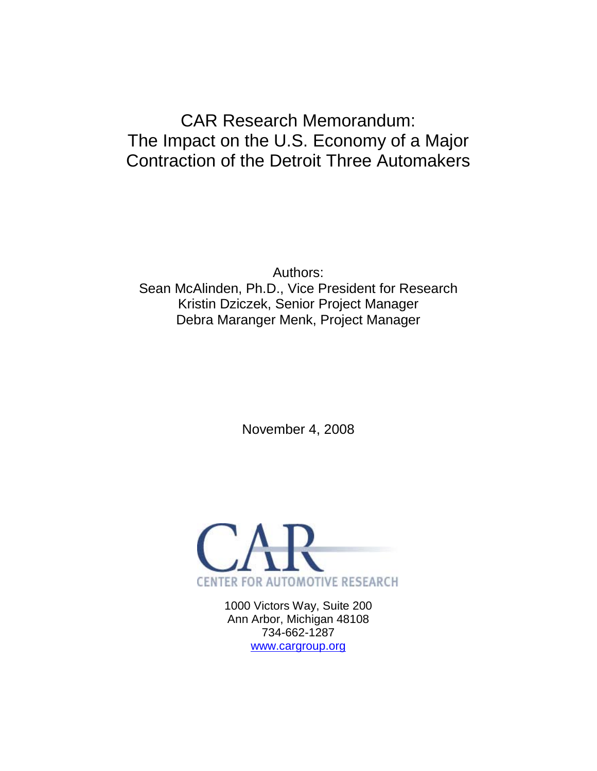# CAR Research Memorandum: The Impact on the U.S. Economy of a Major Contraction of the Detroit Three Automakers

Authors: Sean McAlinden, Ph.D., Vice President for Research Kristin Dziczek, Senior Project Manager Debra Maranger Menk, Project Manager

November 4, 2008



1000 Victors Way, Suite 200 Ann Arbor, Michigan 48108 734-662-1287 [www.cargroup.org](http://www.cargroup.org/)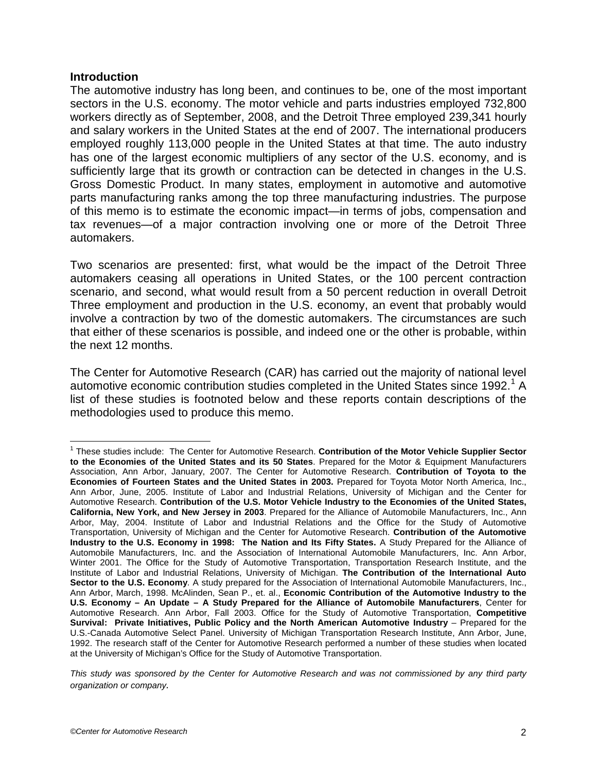## **Introduction**

The automotive industry has long been, and continues to be, one of the most important sectors in the U.S. economy. The motor vehicle and parts industries employed 732,800 workers directly as of September, 2008, and the Detroit Three employed 239,341 hourly and salary workers in the United States at the end of 2007. The international producers employed roughly 113,000 people in the United States at that time. The auto industry has one of the largest economic multipliers of any sector of the U.S. economy, and is sufficiently large that its growth or contraction can be detected in changes in the U.S. Gross Domestic Product. In many states, employment in automotive and automotive parts manufacturing ranks among the top three manufacturing industries. The purpose of this memo is to estimate the economic impact—in terms of jobs, compensation and tax revenues—of a major contraction involving one or more of the Detroit Three automakers.

Two scenarios are presented: first, what would be the impact of the Detroit Three automakers ceasing all operations in United States, or the 100 percent contraction scenario, and second, what would result from a 50 percent reduction in overall Detroit Three employment and production in the U.S. economy, an event that probably would involve a contraction by two of the domestic automakers. The circumstances are such that either of these scenarios is possible, and indeed one or the other is probable, within the next 12 months.

The Center for Automotive Research (CAR) has carried out the majority of national level automotive economic contribution studies completed in the United States since [1](#page-1-0)992.<sup>1</sup> A list of these studies is footnoted below and these reports contain descriptions of the methodologies used to produce this memo.

<span id="page-1-0"></span><sup>1</sup> These studies include: The Center for Automotive Research. **Contribution of the Motor Vehicle Supplier Sector to the Economies of the United States and its 50 States**. Prepared for the Motor & Equipment Manufacturers Association, Ann Arbor, January, 2007. The Center for Automotive Research. **Contribution of Toyota to the Economies of Fourteen States and the United States in 2003.** Prepared for Toyota Motor North America, Inc., Ann Arbor, June, 2005. Institute of Labor and Industrial Relations, University of Michigan and the Center for Automotive Research. **Contribution of the U.S. Motor Vehicle Industry to the Economies of the United States, California, New York, and New Jersey in 2003**. Prepared for the Alliance of Automobile Manufacturers, Inc., Ann Arbor, May, 2004. Institute of Labor and Industrial Relations and the Office for the Study of Automotive Transportation, University of Michigan and the Center for Automotive Research. **Contribution of the Automotive Industry to the U.S. Economy in 1998: The Nation and Its Fifty States.** A Study Prepared for the Alliance of Automobile Manufacturers, Inc. and the Association of International Automobile Manufacturers, Inc. Ann Arbor, Winter 2001. The Office for the Study of Automotive Transportation, Transportation Research Institute, and the Institute of Labor and Industrial Relations, University of Michigan. **The Contribution of the International Auto Sector to the U.S. Economy**. A study prepared for the Association of International Automobile Manufacturers, Inc., Ann Arbor, March, 1998. McAlinden, Sean P., et. al., **Economic Contribution of the Automotive Industry to the U.S. Economy – An Update – A Study Prepared for the Alliance of Automobile Manufacturers**, Center for Automotive Research. Ann Arbor, Fall 2003. Office for the Study of Automotive Transportation, **Competitive Survival: Private Initiatives, Public Policy and the North American Automotive Industry** – Prepared for the U.S.-Canada Automotive Select Panel. University of Michigan Transportation Research Institute, Ann Arbor, June, 1992. The research staff of the Center for Automotive Research performed a number of these studies when located at the University of Michigan's Office for the Study of Automotive Transportation.

*This study was sponsored by the Center for Automotive Research and was not commissioned by any third party organization or company.*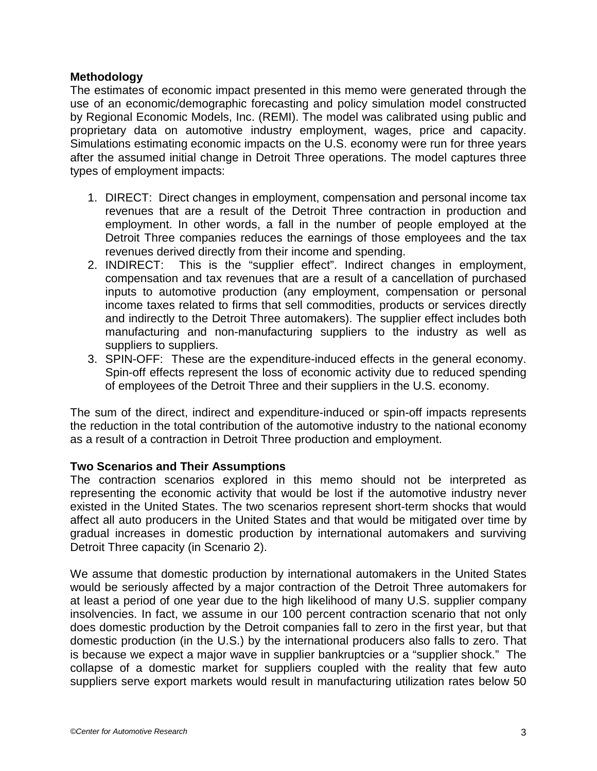## **Methodology**

The estimates of economic impact presented in this memo were generated through the use of an economic/demographic forecasting and policy simulation model constructed by Regional Economic Models, Inc. (REMI). The model was calibrated using public and proprietary data on automotive industry employment, wages, price and capacity. Simulations estimating economic impacts on the U.S. economy were run for three years after the assumed initial change in Detroit Three operations. The model captures three types of employment impacts:

- 1. DIRECT: Direct changes in employment, compensation and personal income tax revenues that are a result of the Detroit Three contraction in production and employment. In other words, a fall in the number of people employed at the Detroit Three companies reduces the earnings of those employees and the tax revenues derived directly from their income and spending.
- 2. INDIRECT: This is the "supplier effect". Indirect changes in employment, compensation and tax revenues that are a result of a cancellation of purchased inputs to automotive production (any employment, compensation or personal income taxes related to firms that sell commodities, products or services directly and indirectly to the Detroit Three automakers). The supplier effect includes both manufacturing and non-manufacturing suppliers to the industry as well as suppliers to suppliers.
- 3. SPIN-OFF: These are the expenditure-induced effects in the general economy. Spin-off effects represent the loss of economic activity due to reduced spending of employees of the Detroit Three and their suppliers in the U.S. economy.

The sum of the direct, indirect and expenditure-induced or spin-off impacts represents the reduction in the total contribution of the automotive industry to the national economy as a result of a contraction in Detroit Three production and employment.

## **Two Scenarios and Their Assumptions**

The contraction scenarios explored in this memo should not be interpreted as representing the economic activity that would be lost if the automotive industry never existed in the United States. The two scenarios represent short-term shocks that would affect all auto producers in the United States and that would be mitigated over time by gradual increases in domestic production by international automakers and surviving Detroit Three capacity (in Scenario 2).

We assume that domestic production by international automakers in the United States would be seriously affected by a major contraction of the Detroit Three automakers for at least a period of one year due to the high likelihood of many U.S. supplier company insolvencies. In fact, we assume in our 100 percent contraction scenario that not only does domestic production by the Detroit companies fall to zero in the first year, but that domestic production (in the U.S.) by the international producers also falls to zero. That is because we expect a major wave in supplier bankruptcies or a "supplier shock." The collapse of a domestic market for suppliers coupled with the reality that few auto suppliers serve export markets would result in manufacturing utilization rates below 50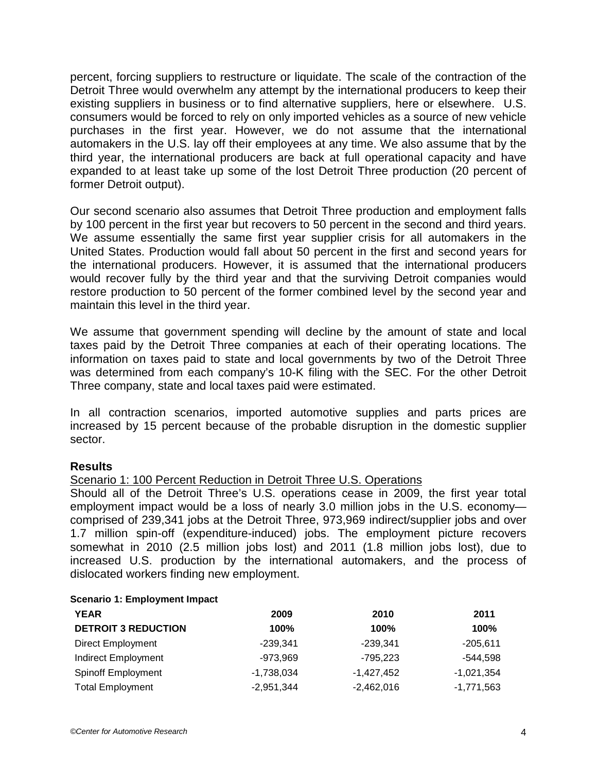percent, forcing suppliers to restructure or liquidate. The scale of the contraction of the Detroit Three would overwhelm any attempt by the international producers to keep their existing suppliers in business or to find alternative suppliers, here or elsewhere. U.S. consumers would be forced to rely on only imported vehicles as a source of new vehicle purchases in the first year. However, we do not assume that the international automakers in the U.S. lay off their employees at any time. We also assume that by the third year, the international producers are back at full operational capacity and have expanded to at least take up some of the lost Detroit Three production (20 percent of former Detroit output).

Our second scenario also assumes that Detroit Three production and employment falls by 100 percent in the first year but recovers to 50 percent in the second and third years. We assume essentially the same first year supplier crisis for all automakers in the United States. Production would fall about 50 percent in the first and second years for the international producers. However, it is assumed that the international producers would recover fully by the third year and that the surviving Detroit companies would restore production to 50 percent of the former combined level by the second year and maintain this level in the third year.

We assume that government spending will decline by the amount of state and local taxes paid by the Detroit Three companies at each of their operating locations. The information on taxes paid to state and local governments by two of the Detroit Three was determined from each company's 10-K filing with the SEC. For the other Detroit Three company, state and local taxes paid were estimated.

In all contraction scenarios, imported automotive supplies and parts prices are increased by 15 percent because of the probable disruption in the domestic supplier sector.

## **Results**

## Scenario 1: 100 Percent Reduction in Detroit Three U.S. Operations

Should all of the Detroit Three's U.S. operations cease in 2009, the first year total employment impact would be a loss of nearly 3.0 million jobs in the U.S. economy comprised of 239,341 jobs at the Detroit Three, 973,969 indirect/supplier jobs and over 1.7 million spin-off (expenditure-induced) jobs. The employment picture recovers somewhat in 2010 (2.5 million jobs lost) and 2011 (1.8 million jobs lost), due to increased U.S. production by the international automakers, and the process of dislocated workers finding new employment.

#### **Scenario 1: Employment Impact**

| <b>YEAR</b>                | 2009         | 2010         | 2011         |
|----------------------------|--------------|--------------|--------------|
| <b>DETROIT 3 REDUCTION</b> | 100%         | 100%         | 100%         |
| <b>Direct Employment</b>   | $-239.341$   | $-239.341$   | -205.611     |
| <b>Indirect Employment</b> | $-973,969$   | -795.223     | -544.598     |
| <b>Spinoff Employment</b>  | $-1,738,034$ | -1,427,452   | $-1,021,354$ |
| <b>Total Employment</b>    | $-2,951,344$ | $-2,462,016$ | $-1,771,563$ |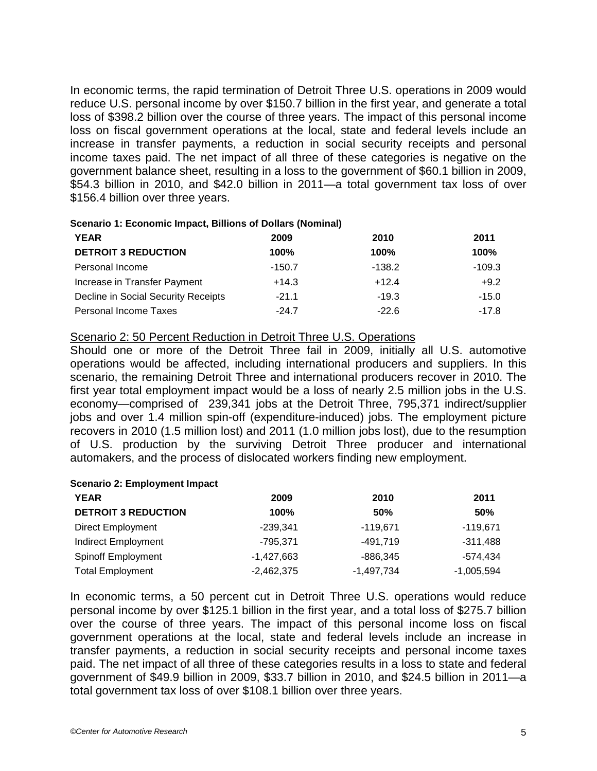In economic terms, the rapid termination of Detroit Three U.S. operations in 2009 would reduce U.S. personal income by over \$150.7 billion in the first year, and generate a total loss of \$398.2 billion over the course of three years. The impact of this personal income loss on fiscal government operations at the local, state and federal levels include an increase in transfer payments, a reduction in social security receipts and personal income taxes paid. The net impact of all three of these categories is negative on the government balance sheet, resulting in a loss to the government of \$60.1 billion in 2009, \$54.3 billion in 2010, and \$42.0 billion in 2011—a total government tax loss of over \$156.4 billion over three years.

#### **Scenario 1: Economic Impact, Billions of Dollars (Nominal)**

| <b>YEAR</b>                         | 2009     | 2010     | 2011        |
|-------------------------------------|----------|----------|-------------|
| <b>DETROIT 3 REDUCTION</b>          | 100%     | 100%     | <b>100%</b> |
| Personal Income                     | $-150.7$ | $-138.2$ | $-109.3$    |
| Increase in Transfer Payment        | $+14.3$  | $+12.4$  | $+9.2$      |
| Decline in Social Security Receipts | $-21.1$  | $-19.3$  | $-15.0$     |
| Personal Income Taxes               | $-24.7$  | $-22.6$  | $-17.8$     |

## Scenario 2: 50 Percent Reduction in Detroit Three U.S. Operations

Should one or more of the Detroit Three fail in 2009, initially all U.S. automotive operations would be affected, including international producers and suppliers. In this scenario, the remaining Detroit Three and international producers recover in 2010. The first year total employment impact would be a loss of nearly 2.5 million jobs in the U.S. economy—comprised of 239,341 jobs at the Detroit Three, 795,371 indirect/supplier jobs and over 1.4 million spin-off (expenditure-induced) jobs. The employment picture recovers in 2010 (1.5 million lost) and 2011 (1.0 million jobs lost), due to the resumption of U.S. production by the surviving Detroit Three producer and international automakers, and the process of dislocated workers finding new employment.

#### **Scenario 2: Employment Impact**

| <b>YEAR</b>                | 2009         | 2010         | 2011         |
|----------------------------|--------------|--------------|--------------|
| <b>DETROIT 3 REDUCTION</b> | $100\%$      | 50%          | 50%          |
| <b>Direct Employment</b>   | $-239.341$   | $-119,671$   | $-119,671$   |
| <b>Indirect Employment</b> | -795.371     | -491.719     | $-311,488$   |
| <b>Spinoff Employment</b>  | $-1,427,663$ | $-886,345$   | -574.434     |
| <b>Total Employment</b>    | $-2,462,375$ | $-1,497,734$ | $-1,005,594$ |

In economic terms, a 50 percent cut in Detroit Three U.S. operations would reduce personal income by over \$125.1 billion in the first year, and a total loss of \$275.7 billion over the course of three years. The impact of this personal income loss on fiscal government operations at the local, state and federal levels include an increase in transfer payments, a reduction in social security receipts and personal income taxes paid. The net impact of all three of these categories results in a loss to state and federal government of \$49.9 billion in 2009, \$33.7 billion in 2010, and \$24.5 billion in 2011—a total government tax loss of over \$108.1 billion over three years.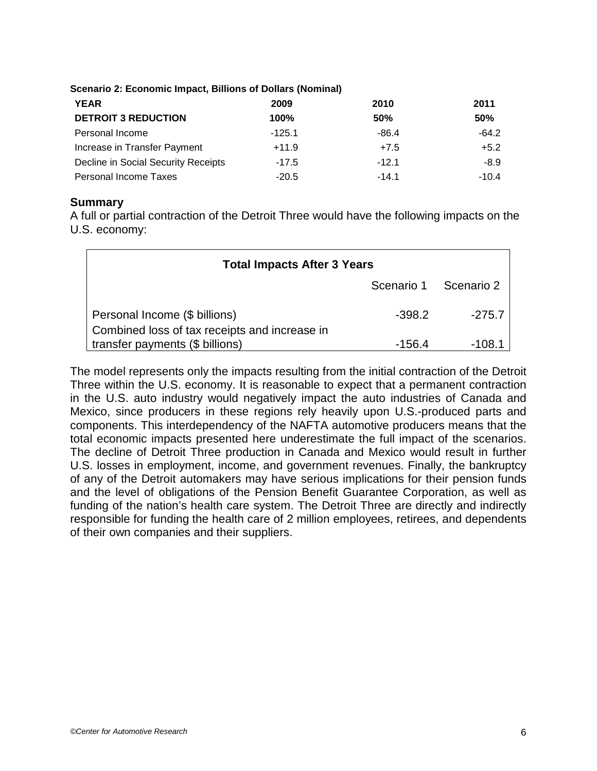**YEAR 2009 2010 2011 DETROIT 3 REDUCTION 100% 50% 50%** Personal Income  $-125.1$  -125.1 -64.2 Increase in Transfer Payment  $+11.9$   $+7.5$   $+5.2$ Decline in Social Security Receipts -17.5 -12.1 -8.9 Personal Income Taxes -20.5 -14.1 - 10.4

## **Scenario 2: Economic Impact, Billions of Dollars (Nominal)**

#### **Summary**

A full or partial contraction of the Detroit Three would have the following impacts on the U.S. economy:

| <b>Total Impacts After 3 Years</b>                                             |                       |          |  |
|--------------------------------------------------------------------------------|-----------------------|----------|--|
|                                                                                | Scenario 1 Scenario 2 |          |  |
| Personal Income (\$ billions)<br>Combined loss of tax receipts and increase in | $-398.2$              | $-275.7$ |  |
| transfer payments (\$ billions)                                                | $-156.4$              | -108.1   |  |

The model represents only the impacts resulting from the initial contraction of the Detroit Three within the U.S. economy. It is reasonable to expect that a permanent contraction in the U.S. auto industry would negatively impact the auto industries of Canada and Mexico, since producers in these regions rely heavily upon U.S.-produced parts and components. This interdependency of the NAFTA automotive producers means that the total economic impacts presented here underestimate the full impact of the scenarios. The decline of Detroit Three production in Canada and Mexico would result in further U.S. losses in employment, income, and government revenues. Finally, the bankruptcy of any of the Detroit automakers may have serious implications for their pension funds and the level of obligations of the Pension Benefit Guarantee Corporation, as well as funding of the nation's health care system. The Detroit Three are directly and indirectly responsible for funding the health care of 2 million employees, retirees, and dependents of their own companies and their suppliers.